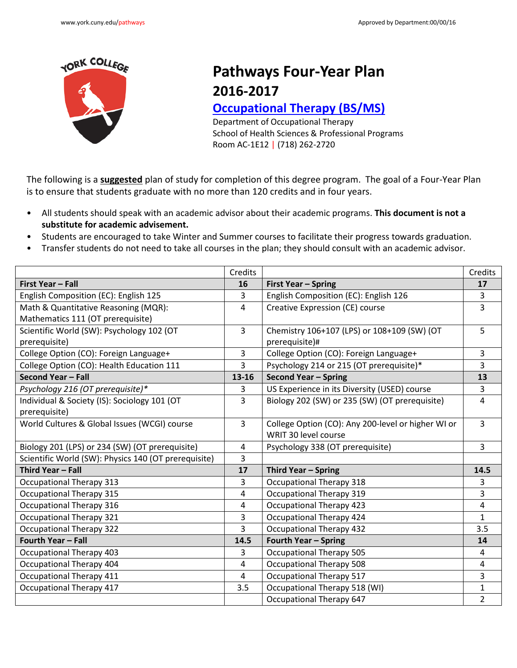

## **Pathways Four-Year Plan 2016-2017**

## **[Occupational Therapy \(BS/MS\)](http://www.york.cuny.edu/produce-and-print/contents/bulletin/school-of-health-and-behavioral-sciences/occupational-therapy/copy_of_occupational-therapy-ms)**

Department of Occupational Therapy Room AC-1E12 | (718) 262-2720 School of Health Sciences & Professional Programs

 The following is a **suggested** plan of study for completion of this degree program. The goal of a Four-Year Plan is to ensure that students graduate with no more than 120 credits and in four years.

- All students should speak with an academic advisor about their academic programs. **This document is not a substitute for academic advisement.**
- Students are encouraged to take Winter and Summer courses to facilitate their progress towards graduation.
- Transfer students do not need to take all courses in the plan; they should consult with an academic advisor.

|                                                      | Credits        |                                                    | Credits        |
|------------------------------------------------------|----------------|----------------------------------------------------|----------------|
| <b>First Year - Fall</b>                             | 16             | <b>First Year - Spring</b>                         | 17             |
| English Composition (EC): English 125                | 3              | English Composition (EC): English 126              | 3              |
| Math & Quantitative Reasoning (MQR):                 | 4              | Creative Expression (CE) course                    | $\overline{3}$ |
| Mathematics 111 (OT prerequisite)                    |                |                                                    |                |
| Scientific World (SW): Psychology 102 (OT            | 3              | Chemistry 106+107 (LPS) or 108+109 (SW) (OT        | 5              |
| prerequisite)                                        |                | prerequisite)#                                     |                |
| College Option (CO): Foreign Language+               | 3              | College Option (CO): Foreign Language+             | 3              |
| College Option (CO): Health Education 111            | $\overline{3}$ | Psychology 214 or 215 (OT prerequisite)*           | 3              |
| Second Year - Fall                                   | 13-16          | <b>Second Year - Spring</b>                        | 13             |
| Psychology 216 (OT prerequisite)*                    | 3              | US Experience in its Diversity (USED) course       | 3              |
| Individual & Society (IS): Sociology 101 (OT         | $\overline{3}$ | Biology 202 (SW) or 235 (SW) (OT prerequisite)     | $\overline{4}$ |
| prerequisite)                                        |                |                                                    |                |
| World Cultures & Global Issues (WCGI) course         | $\overline{3}$ | College Option (CO): Any 200-level or higher WI or | $\overline{3}$ |
|                                                      |                | WRIT 30 level course                               |                |
| Biology 201 (LPS) or 234 (SW) (OT prerequisite)      | 4              | Psychology 338 (OT prerequisite)                   | $\overline{3}$ |
| Scientific World (SW): Physics 140 (OT prerequisite) | $\mathbf{3}$   |                                                    |                |
| Third Year - Fall                                    | 17             | Third Year - Spring                                | 14.5           |
| <b>Occupational Therapy 313</b>                      | $\overline{3}$ | <b>Occupational Therapy 318</b>                    | 3              |
| <b>Occupational Therapy 315</b>                      | 4              | <b>Occupational Therapy 319</b>                    | 3              |
| Occupational Therapy 316                             | 4              | <b>Occupational Therapy 423</b>                    | 4              |
| <b>Occupational Therapy 321</b>                      | 3              | Occupational Therapy 424                           | $\mathbf{1}$   |
| <b>Occupational Therapy 322</b>                      | $\overline{3}$ | <b>Occupational Therapy 432</b>                    | 3.5            |
| Fourth Year - Fall                                   | 14.5           | <b>Fourth Year - Spring</b>                        | 14             |
| <b>Occupational Therapy 403</b>                      | 3              | <b>Occupational Therapy 505</b>                    | 4              |
| Occupational Therapy 404                             | 4              | <b>Occupational Therapy 508</b>                    | 4              |
| <b>Occupational Therapy 411</b>                      | 4              | <b>Occupational Therapy 517</b>                    | 3              |
| <b>Occupational Therapy 417</b>                      | 3.5            | Occupational Therapy 518 (WI)                      | $\mathbf{1}$   |
|                                                      |                | <b>Occupational Therapy 647</b>                    | $\overline{2}$ |